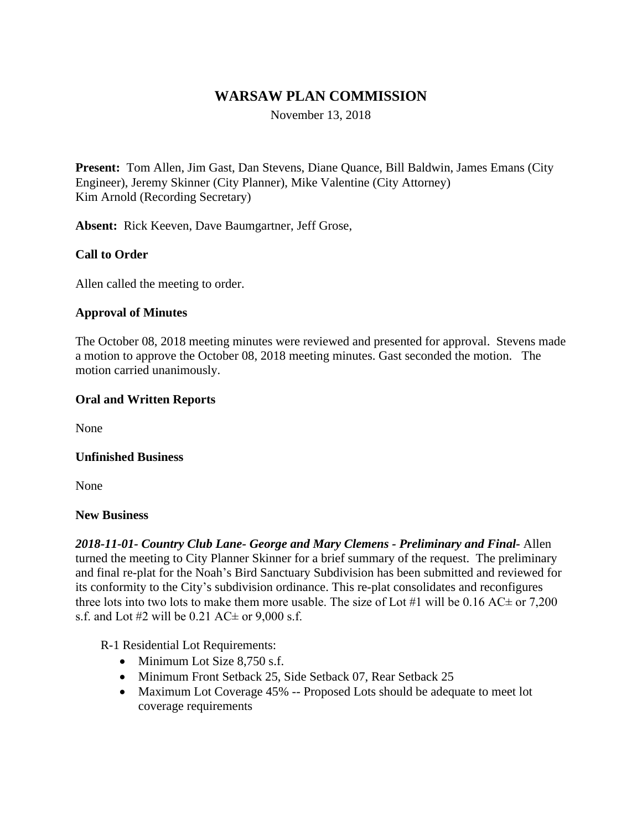# **WARSAW PLAN COMMISSION**

November 13, 2018

**Present:** Tom Allen, Jim Gast, Dan Stevens, Diane Quance, Bill Baldwin, James Emans (City Engineer), Jeremy Skinner (City Planner), Mike Valentine (City Attorney) Kim Arnold (Recording Secretary)

**Absent:** Rick Keeven, Dave Baumgartner, Jeff Grose,

#### **Call to Order**

Allen called the meeting to order.

#### **Approval of Minutes**

The October 08, 2018 meeting minutes were reviewed and presented for approval. Stevens made a motion to approve the October 08, 2018 meeting minutes. Gast seconded the motion. The motion carried unanimously.

#### **Oral and Written Reports**

None

#### **Unfinished Business**

None

#### **New Business**

*2018-11-01- Country Club Lane- George and Mary Clemens - Preliminary and Final-* Allen turned the meeting to City Planner Skinner for a brief summary of the request. The preliminary and final re-plat for the Noah's Bird Sanctuary Subdivision has been submitted and reviewed for its conformity to the City's subdivision ordinance. This re-plat consolidates and reconfigures three lots into two lots to make them more usable. The size of Lot #1 will be  $0.16$  AC $\pm$  or 7,200 s.f. and Lot #2 will be  $0.21$  AC $\pm$  or  $9,000$  s.f.

R-1 Residential Lot Requirements:

- $\bullet$  Minimum Lot Size 8.750 s.f.
- Minimum Front Setback 25, Side Setback 07, Rear Setback 25
- Maximum Lot Coverage 45% -- Proposed Lots should be adequate to meet lot coverage requirements